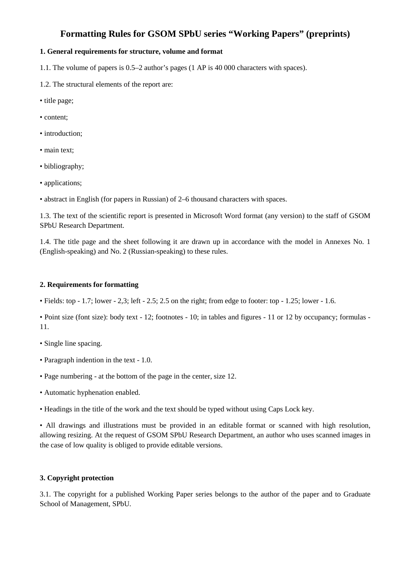## **Formatting Rules for GSOM SPbU series "Working Papers" (preprints)**

### **1. General requirements for structure, volume and format**

1.1. The volume of papers is 0.5–2 author's pages (1 AP is 40 000 characters with spaces).

- 1.2. The structural elements of the report are:
- title page;
- content;
- introduction;
- main text;
- bibliography;
- applications;
- abstract in English (for papers in Russian) of 2–6 thousand characters with spaces.

1.3. The text of the scientific report is presented in Microsoft Word format (any version) to the staff of GSOM SPbU Research Department.

1.4. The title page and the sheet following it are drawn up in accordance with the model in Annexes No. 1 (English-speaking) and No. 2 (Russian-speaking) to these rules.

### **2. Requirements for formatting**

• Fields: top - 1.7; lower - 2,3; left - 2.5; 2.5 on the right; from edge to footer: top - 1.25; lower - 1.6.

• Point size (font size): body text - 12; footnotes - 10; in tables and figures - 11 or 12 by occupancy; formulas - 11.

- Single line spacing.
- Paragraph indention in the text 1.0.
- Page numbering at the bottom of the page in the center, size 12.
- Automatic hyphenation enabled.

• Headings in the title of the work and the text should be typed without using Caps Lock key.

• All drawings and illustrations must be provided in an editable format or scanned with high resolution, allowing resizing. At the request of GSOM SPbU Research Department, an author who uses scanned images in the case of low quality is obliged to provide editable versions.

### **3. Copyright protection**

3.1. The copyright for a published Working Paper series belongs to the author of the paper and to Graduate School of Management, SPbU.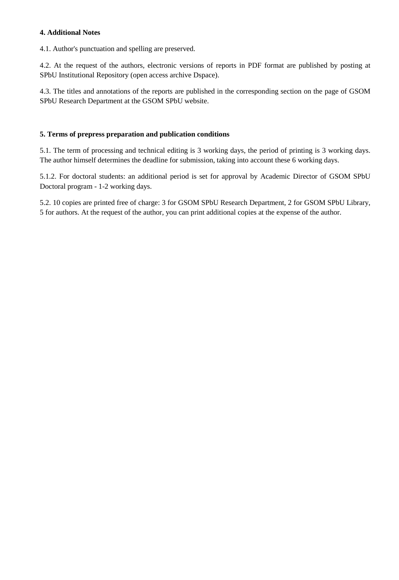### **4. Additional Notes**

4.1. Author's punctuation and spelling are preserved.

4.2. At the request of the authors, electronic versions of reports in PDF format are published by posting at SPbU Institutional Repository (open access archive Dspace).

4.3. The titles and annotations of the reports are published in the corresponding section on the page of GSOM SPbU Research Department at the GSOM SPbU website.

#### **5. Terms of prepress preparation and publication conditions**

5.1. The term of processing and technical editing is 3 working days, the period of printing is 3 working days. The author himself determines the deadline for submission, taking into account these 6 working days.

5.1.2. For doctoral students: an additional period is set for approval by Academic Director of GSOM SPbU Doctoral program - 1-2 working days.

5.2. 10 copies are printed free of charge: 3 for GSOM SPbU Research Department, 2 for GSOM SPbU Library, 5 for authors. At the request of the author, you can print additional copies at the expense of the author.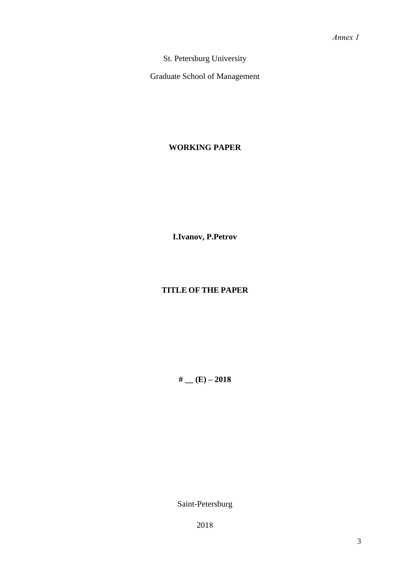St. Petersburg University

Graduate School of Management

### **WORKING PAPER**

**I.Ivanov, P.Petrov**

## **TITLE OF THE PAPER**

#  $(E) - 2018$ 

Saint-Petersburg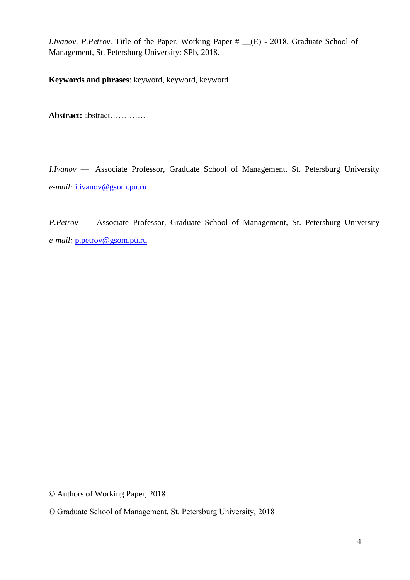*I.Ivanov, P.Petrov.* Title of the Paper. Working Paper # \_\_(E) - 2018. Graduate School of Management, St. Petersburg University: SPb, 2018.

**Keywords and phrases**: keyword, keyword, keyword

**Abstract:** abstract………….

*I.Ivanov* — Associate Professor, Graduate School of Management, St. Petersburg University *e-mail:* i.ivanov@gsom.pu.ru

*P.Petrov* — Associate Professor, Graduate School of Management, St. Petersburg University *e-mail:* p.petrov@gsom.pu.ru

© Authors of Working Paper, 2018

<sup>©</sup> Graduate School of Management, St. Petersburg University, 2018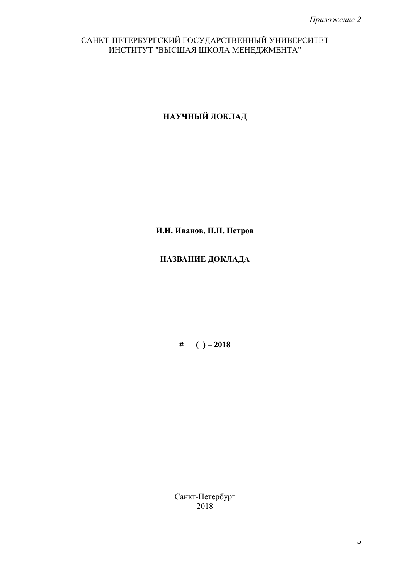## САНКТ-ПЕТЕРБУРГСКИЙ ГОСУДАРСТВЕННЫЙ УНИВЕРСИТЕТ ИНСТИТУТ "ВЫСШАЯ ШКОЛА МЕНЕДЖМЕНТА"

**НАУЧНЫЙ ДОКЛАД**

**И.И. Иванов, П.П. Петров**

# **НАЗВАНИЕ ДОКЛАДА**

**# \_\_ (\_) – 2018**

Санкт-Петербург 2018